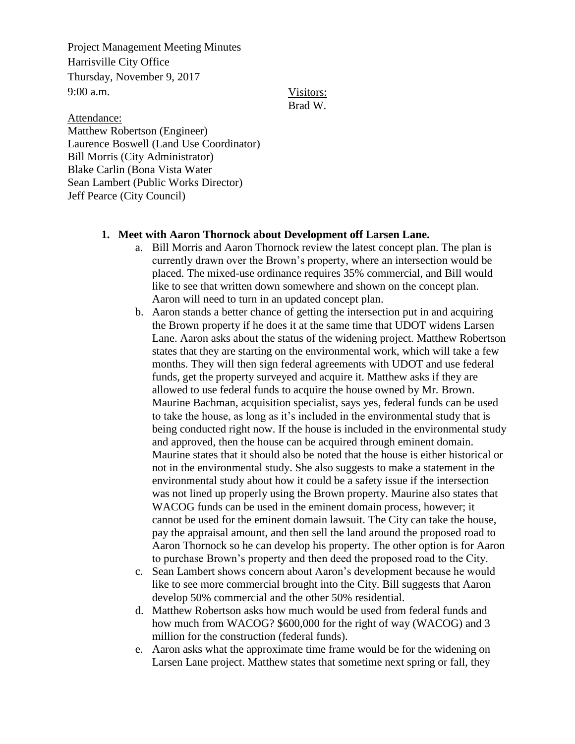Project Management Meeting Minutes Harrisville City Office Thursday, November 9, 2017 9:00 a.m.

Visitors: Brad W.

Attendance: Matthew Robertson (Engineer) Laurence Boswell (Land Use Coordinator) Bill Morris (City Administrator) Blake Carlin (Bona Vista Water Sean Lambert (Public Works Director) Jeff Pearce (City Council)

## **1. Meet with Aaron Thornock about Development off Larsen Lane.**

- a. Bill Morris and Aaron Thornock review the latest concept plan. The plan is currently drawn over the Brown's property, where an intersection would be placed. The mixed-use ordinance requires 35% commercial, and Bill would like to see that written down somewhere and shown on the concept plan. Aaron will need to turn in an updated concept plan.
- b. Aaron stands a better chance of getting the intersection put in and acquiring the Brown property if he does it at the same time that UDOT widens Larsen Lane. Aaron asks about the status of the widening project. Matthew Robertson states that they are starting on the environmental work, which will take a few months. They will then sign federal agreements with UDOT and use federal funds, get the property surveyed and acquire it. Matthew asks if they are allowed to use federal funds to acquire the house owned by Mr. Brown. Maurine Bachman, acquisition specialist, says yes, federal funds can be used to take the house, as long as it's included in the environmental study that is being conducted right now. If the house is included in the environmental study and approved, then the house can be acquired through eminent domain. Maurine states that it should also be noted that the house is either historical or not in the environmental study. She also suggests to make a statement in the environmental study about how it could be a safety issue if the intersection was not lined up properly using the Brown property. Maurine also states that WACOG funds can be used in the eminent domain process, however; it cannot be used for the eminent domain lawsuit. The City can take the house, pay the appraisal amount, and then sell the land around the proposed road to Aaron Thornock so he can develop his property. The other option is for Aaron to purchase Brown's property and then deed the proposed road to the City.
- c. Sean Lambert shows concern about Aaron's development because he would like to see more commercial brought into the City. Bill suggests that Aaron develop 50% commercial and the other 50% residential.
- d. Matthew Robertson asks how much would be used from federal funds and how much from WACOG? \$600,000 for the right of way (WACOG) and 3 million for the construction (federal funds).
- e. Aaron asks what the approximate time frame would be for the widening on Larsen Lane project. Matthew states that sometime next spring or fall, they